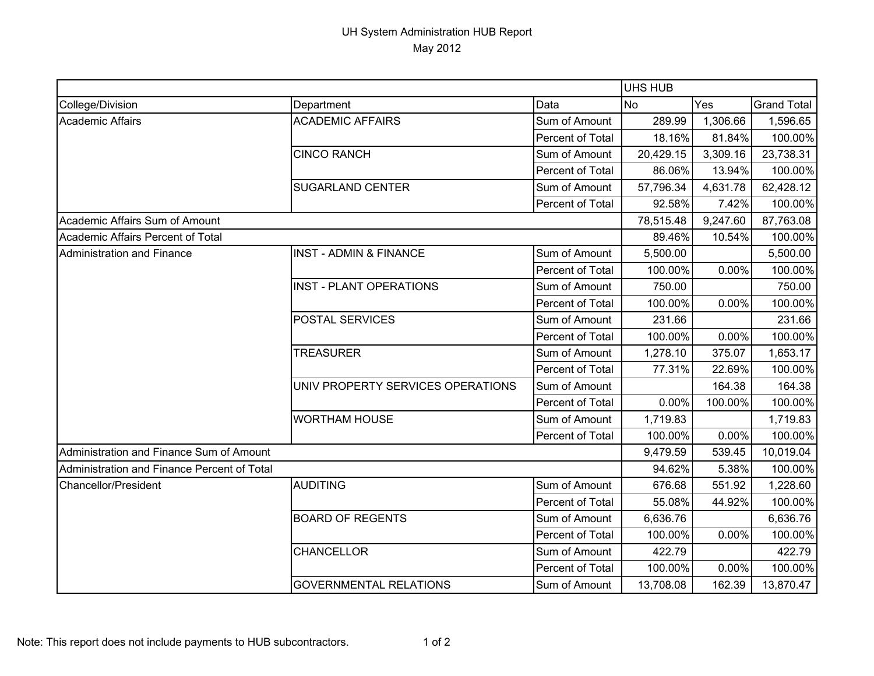## UH System Administration HUB Report May 2012

|                                             |                                   |                  | <b>UHS HUB</b> |          |                    |
|---------------------------------------------|-----------------------------------|------------------|----------------|----------|--------------------|
| College/Division                            | Department                        | Data             | <b>No</b>      | Yes      | <b>Grand Total</b> |
| Academic Affairs                            | <b>ACADEMIC AFFAIRS</b>           | Sum of Amount    | 289.99         | 1,306.66 | 1,596.65           |
|                                             |                                   | Percent of Total | 18.16%         | 81.84%   | 100.00%            |
|                                             | <b>CINCO RANCH</b>                | Sum of Amount    | 20,429.15      | 3,309.16 | 23,738.31          |
|                                             |                                   | Percent of Total | 86.06%         | 13.94%   | 100.00%            |
|                                             | <b>SUGARLAND CENTER</b>           | Sum of Amount    | 57,796.34      | 4,631.78 | 62,428.12          |
|                                             |                                   | Percent of Total | 92.58%         | 7.42%    | 100.00%            |
| Academic Affairs Sum of Amount              |                                   |                  | 78,515.48      | 9,247.60 | 87,763.08          |
| Academic Affairs Percent of Total           |                                   |                  | 89.46%         | 10.54%   | 100.00%            |
| Administration and Finance                  | <b>INST - ADMIN &amp; FINANCE</b> | Sum of Amount    | 5,500.00       |          | 5,500.00           |
|                                             |                                   | Percent of Total | 100.00%        | 0.00%    | 100.00%            |
|                                             | <b>INST - PLANT OPERATIONS</b>    | Sum of Amount    | 750.00         |          | 750.00             |
|                                             |                                   | Percent of Total | 100.00%        | 0.00%    | 100.00%            |
|                                             | POSTAL SERVICES                   | Sum of Amount    | 231.66         |          | 231.66             |
|                                             |                                   | Percent of Total | 100.00%        | 0.00%    | 100.00%            |
|                                             | <b>TREASURER</b>                  | Sum of Amount    | 1,278.10       | 375.07   | 1,653.17           |
|                                             |                                   | Percent of Total | 77.31%         | 22.69%   | 100.00%            |
|                                             | UNIV PROPERTY SERVICES OPERATIONS | Sum of Amount    |                | 164.38   | 164.38             |
|                                             |                                   | Percent of Total | 0.00%          | 100.00%  | 100.00%            |
|                                             | <b>WORTHAM HOUSE</b>              | Sum of Amount    | 1,719.83       |          | 1,719.83           |
|                                             |                                   | Percent of Total | 100.00%        | 0.00%    | 100.00%            |
| Administration and Finance Sum of Amount    |                                   |                  | 9,479.59       | 539.45   | 10,019.04          |
| Administration and Finance Percent of Total |                                   |                  | 94.62%         | 5.38%    | 100.00%            |
| <b>Chancellor/President</b>                 | <b>AUDITING</b>                   | Sum of Amount    | 676.68         | 551.92   | 1,228.60           |
|                                             |                                   | Percent of Total | 55.08%         | 44.92%   | 100.00%            |
|                                             | <b>BOARD OF REGENTS</b>           | Sum of Amount    | 6,636.76       |          | 6,636.76           |
|                                             |                                   | Percent of Total | 100.00%        | 0.00%    | 100.00%            |
|                                             | <b>CHANCELLOR</b>                 | Sum of Amount    | 422.79         |          | 422.79             |
|                                             |                                   | Percent of Total | 100.00%        | 0.00%    | 100.00%            |
|                                             | <b>GOVERNMENTAL RELATIONS</b>     | Sum of Amount    | 13,708.08      | 162.39   | 13,870.47          |